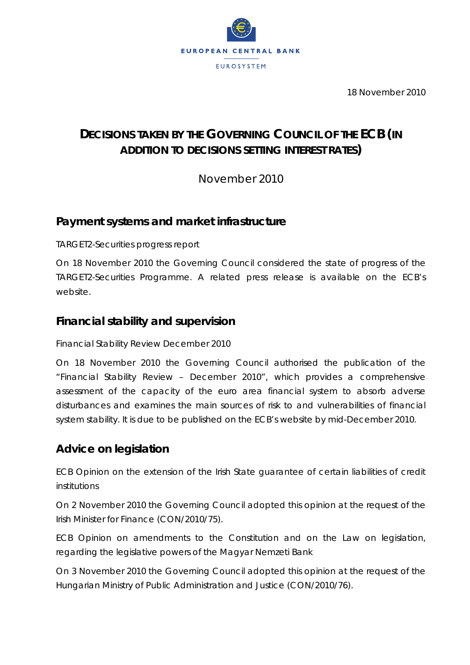

18 November 2010

# **DECISIONS TAKEN BY THE GOVERNING COUNCIL OF THE ECB (***IN ADDITION TO DECISIONS SETTING INTEREST RATES***)**

November 2010

### **Payment systems and market infrastructure**

#### *TARGET2-Securities progress report*

On 18 November 2010 the Governing Council considered the state of progress of the TARGET2-Securities Programme. A related press release is available on the ECB's website.

### **Financial stability and supervision**

#### *Financial Stability Review December 2010*

On 18 November 2010 the Governing Council authorised the publication of the "Financial Stability Review – December 2010", which provides a comprehensive assessment of the capacity of the euro area financial system to absorb adverse disturbances and examines the main sources of risk to and vulnerabilities of financial system stability. It is due to be published on the ECB's website by mid-December 2010.

## **Advice on legislation**

*ECB Opinion on the extension of the Irish State guarantee of certain liabilities of credit institutions* 

On 2 November 2010 the Governing Council adopted this opinion at the request of the Irish Minister for Finance (CON/2010/75).

*ECB Opinion on amendments to the Constitution and on the Law on legislation, regarding the legislative powers of the Magyar Nemzeti Bank* 

On 3 November 2010 the Governing Council adopted this opinion at the request of the Hungarian Ministry of Public Administration and Justice (CON/2010/76).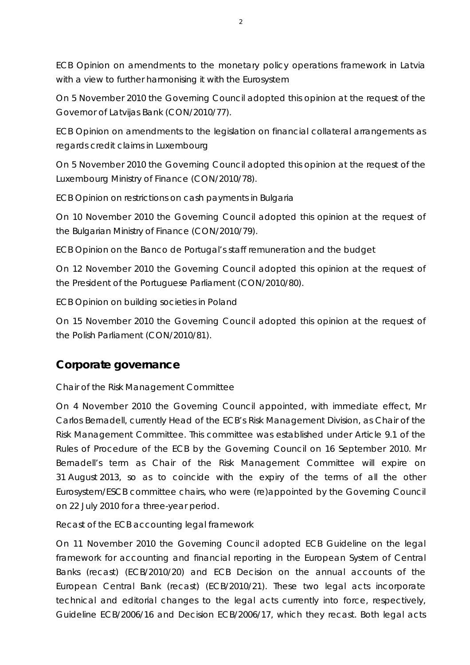*ECB Opinion on amendments to the monetary policy operations framework in Latvia with a view to further harmonising it with the Eurosystem* 

On 5 November 2010 the Governing Council adopted this opinion at the request of the Governor of Latvijas Bank (CON/2010/77).

*ECB Opinion on amendments to the legislation on financial collateral arrangements as regards credit claims in Luxembourg* 

On 5 November 2010 the Governing Council adopted this opinion at the request of the Luxembourg Ministry of Finance (CON/2010/78).

*ECB Opinion on restrictions on cash payments in Bulgaria* 

On 10 November 2010 the Governing Council adopted this opinion at the request of the Bulgarian Ministry of Finance (CON/2010/79).

*ECB Opinion on the Banco de Portugal's staff remuneration and the budget* 

On 12 November 2010 the Governing Council adopted this opinion at the request of the President of the Portuguese Parliament (CON/2010/80).

*ECB Opinion on building societies in Poland* 

On 15 November 2010 the Governing Council adopted this opinion at the request of the Polish Parliament (CON/2010/81).

## **Corporate governance**

### *Chair of the Risk Management Committee*

On 4 November 2010 the Governing Council appointed, with immediate effect, Mr Carlos Bernadell, currently Head of the ECB's Risk Management Division, as Chair of the Risk Management Committee. This committee was established under Article 9.1 of the Rules of Procedure of the ECB by the Governing Council on 16 September 2010. Mr Bernadell's term as Chair of the Risk Management Committee will expire on 31 August 2013, so as to coincide with the expiry of the terms of all the other Eurosystem/ESCB committee chairs, who were (re)appointed by the Governing Council on 22 July 2010 for a three-year period.

#### *Recast of the ECB accounting legal framework*

On 11 November 2010 the Governing Council adopted ECB Guideline on the legal framework for accounting and financial reporting in the European System of Central Banks (recast) (ECB/2010/20) and ECB Decision on the annual accounts of the European Central Bank (recast) (ECB/2010/21). These two legal acts incorporate technical and editorial changes to the legal acts currently into force, respectively, Guideline ECB/2006/16 and Decision ECB/2006/17, which they recast. Both legal acts